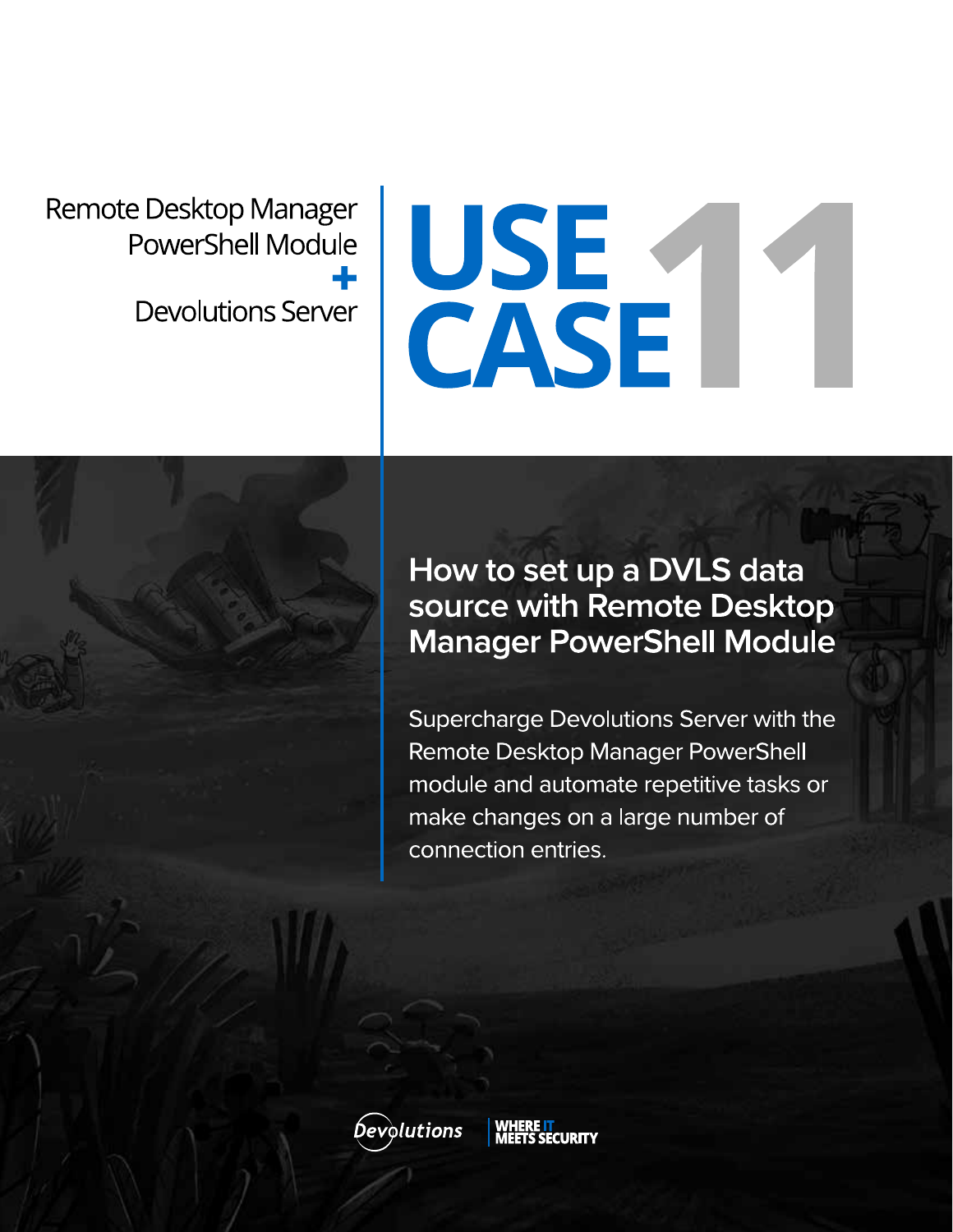Remote Desktop Manager PowerShell Module ┻ **Devolutions Server** 

# USE<br>CASE

# How to set up a DVLS data source with Remote Desktop **Manager PowerShell Module**

Supercharge Devolutions Server with the Remote Desktop Manager PowerShell module and automate repetitive tasks or make changes on a large number of connection entries.

**Devolutions**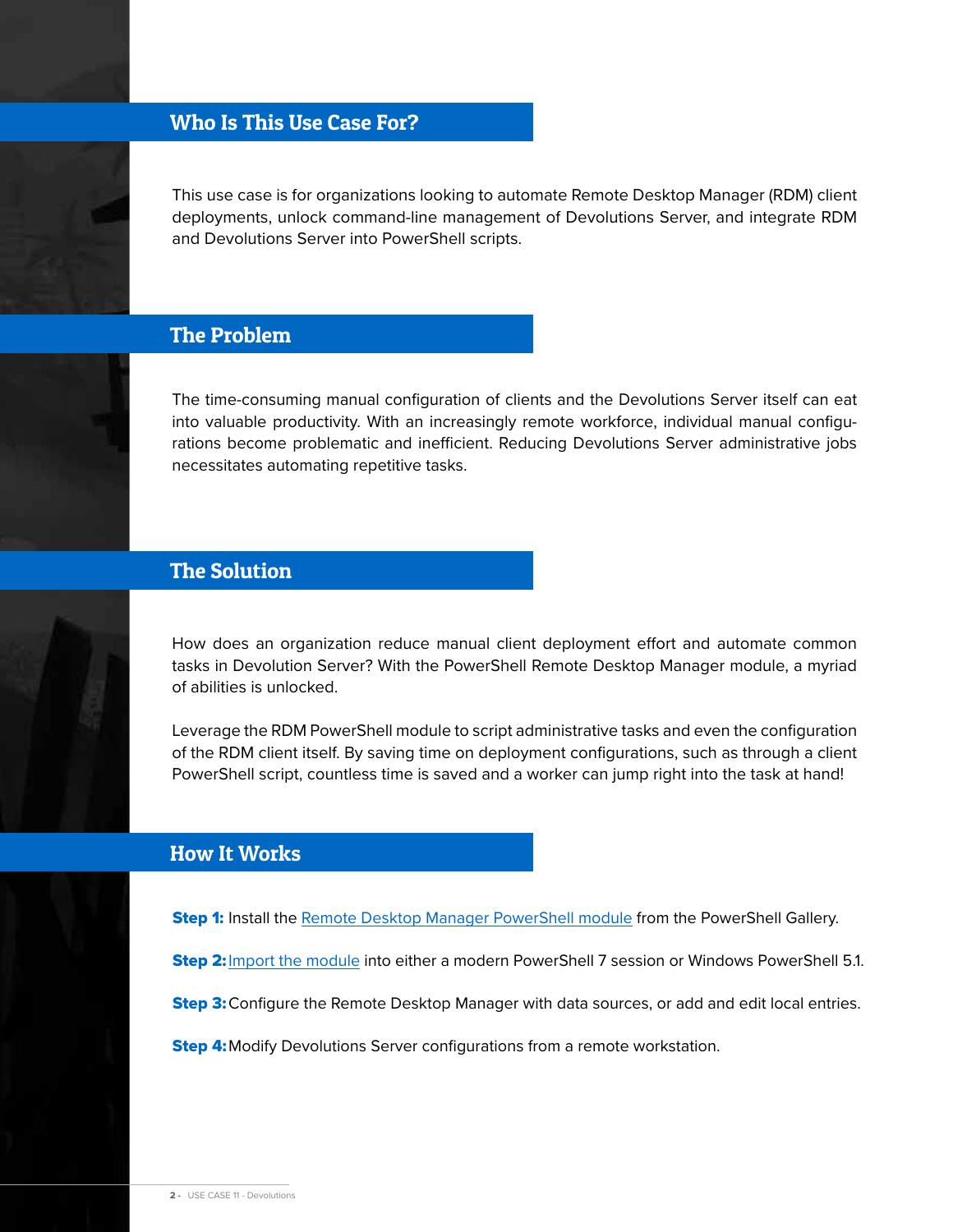## Who Is This Use Case For?

This use case is for organizations looking to automate Remote Desktop Manager (RDM) client deployments, unlock command-line management of Devolutions Server, and integrate RDM and Devolutions Server into PowerShell scripts.

### The Problem

The time-consuming manual configuration of clients and the Devolutions Server itself can eat into valuable productivity. With an increasingly remote workforce, individual manual configurations become problematic and inefficient. Reducing Devolutions Server administrative jobs necessitates automating repetitive tasks.



## The Solution

How does an organization reduce manual client deployment effort and automate common tasks in Devolution Server? With the PowerShell Remote Desktop Manager module, a myriad of abilities is unlocked.

Leverage the RDM PowerShell module to script administrative tasks and even the configuration of the RDM client itself. By saving time on deployment configurations, such as through a client PowerShell script, countless time is saved and a worker can jump right into the task at hand!

### How It Works

**Step 1:** Install the [Remote Desktop Manager PowerShell module](https://www.powershellgallery.com/packages/RemoteDesktopManager/2022.1.1.0) from the PowerShell Gallery.

Step 2: [Import the module](https://cdndevolutions.blob.core.windows.net/documents/how-to/how-to-set-up-a-dvls-data-source-with-remote-desktop-manager-powershell-module.pdf) into either a modern PowerShell 7 session or Windows PowerShell 5.1.

**Step 3:** Configure the Remote Desktop Manager with data sources, or add and edit local entries.

**Step 4:** Modify Devolutions Server configurations from a remote workstation.